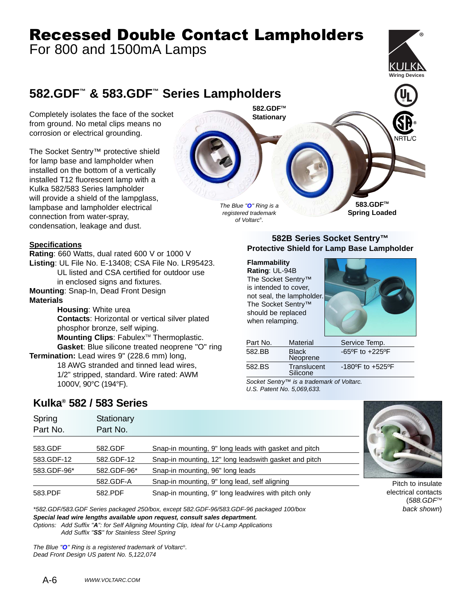# Recessed Double Contact Lampholders

For 800 and 1500mA Lamps



## **582.GDF™ & 583.GDF™ Series Lampholders**

Completely isolates the face of the socket from ground. No metal clips means no corrosion or electrical grounding.

The Socket Sentry™ protective shield for lamp base and lampholder when installed on the bottom of a vertically installed T12 fluorescent lamp with a Kulka 582/583 Series lampholder will provide a shield of the lampglass. lampbase and lampholder electrical connection from water-spray, condensation, leakage and dust.

#### **Specifications**

**Rating**: 660 Watts, dual rated 600 V or 1000 V **Listing**: UL File No. E-13408; CSA File No. LR95423. UL listed and CSA certified for outdoor use in enclosed signs and fixtures.

**Mounting**: Snap-In, Dead Front Design

#### **Materials**

**Housing**: White urea **Contacts**: Horizontal or vertical silver plated phosphor bronze, self wiping. Mounting Clips: Fabulex<sup>™</sup> Thermoplastic. **Gasket**: Blue silicone treated neoprene "O" ring

**Termination:** Lead wires 9" (228.6 mm) long, 18 AWG stranded and tinned lead wires, 1/2" stripped, standard. Wire rated: AWM 1000V, 90°C (194°F).

#### **582B Series Socket Sentry™ Protective Shield for Lamp Base Lampholder**

#### **Flammability**

The Blue "**O**" Ring is a registered trademark of Voltarc® .

**582.GDFTM Stationary**

**Rating**: UL-94B The Socket Sentry™ is intended to cover, not seal, the lampholder. The Socket Sentry™ should be replaced when relamping.



**583.GDFTM Spring Loaded**

| Part No. | <b>Material</b>          | Service Temp.                        |
|----------|--------------------------|--------------------------------------|
| 582.BB   | <b>Black</b><br>Neoprene | $-65^{\circ}$ F to $+225^{\circ}$ F  |
| 582.BS   | Translucent<br>Silicone  | $-180^{\circ}$ F to $+525^{\circ}$ F |

Socket Sentry™ is a trademark of Voltarc. U.S. Patent No. 5,069,633.

### **Kulka® 582 / 583 Series**

| Spring<br>Part No. | Stationary<br>Part No. |                                                       |  |
|--------------------|------------------------|-------------------------------------------------------|--|
| 583.GDF            | 582.GDF                | Snap-in mounting, 9" long leads with gasket and pitch |  |
| 583.GDF-12         | 582.GDF-12             | Snap-in mounting, 12" long leadswith gasket and pitch |  |
| 583.GDF-96*        | 582.GDF-96*            | Snap-in mounting, 96" long leads                      |  |
|                    | 582.GDF-A              | Snap-in mounting, 9" long lead, self aligning         |  |
| 583.PDF            | 582.PDF                | Snap-in mounting, 9" long leadwires with pitch only   |  |

\*582.GDF/583.GDF Series packaged 250/box, except 582.GDF-96/583.GDF-96 packaged 100/box **Special lead wire lengths available upon request, consult sales department.** Options: Add Suffix "**A**": for Self Aligning Mounting Clip, Ideal for U-Lamp Applications Add Suffix "**SS**" for Stainless Steel Spring

The Blue "**O**" Ring is a registered trademark of Voltarc® . Dead Front Design US patent No. 5,122,074

Pitch to insulate electrical contacts  $(588.GDF<sup>TM</sup>)$ back shown)